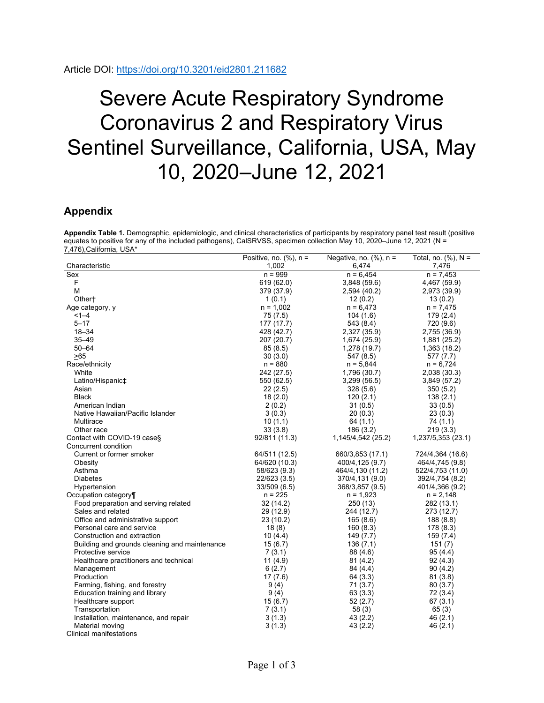## Severe Acute Respiratory Syndrome Coronavirus 2 and Respiratory Virus Sentinel Surveillance, California, USA, May 10, 2020–June 12, 2021

## **Appendix**

**Appendix Table 1.** Demographic, epidemiologic, and clinical characteristics of participants by respiratory panel test result (positive equates to positive for any of the included pathogens), CalSRVSS, specimen collection May 10, 2020–June 12, 2021 (N = 7,476),California, USA\*

|                                               | Positive, no. $(\%)$ , n = | Negative, no. $(\%)$ , n = | Total, no. $(\%)$ , N = |
|-----------------------------------------------|----------------------------|----------------------------|-------------------------|
| Characteristic                                | 1,002                      | 6,474                      | 7,476                   |
| Sex                                           | $n = 999$                  | $n = 6,454$                | $n = 7,453$             |
| F                                             | 619 (62.0)                 | 3,848(59.6)                | 4,467 (59.9)            |
| M                                             | 379 (37.9)                 | 2,594 (40.2)               | 2,973 (39.9)            |
| Other <sup>+</sup>                            | 1(0.1)                     | 12(0.2)                    | 13(0.2)                 |
| Age category, y                               | $n = 1,002$                | $n = 6,473$                | $n = 7,475$             |
| $1 - 4$                                       | 75 (7.5)                   | 104(1.6)                   | 179 (2.4)               |
| $5 - 17$                                      | 177 (17.7)                 | 543 (8.4)                  | 720 (9.6)               |
| $18 - 34$                                     | 428 (42.7)                 | 2,327 (35.9)               | 2,755 (36.9)            |
| $35 - 49$                                     | 207 (20.7)                 | 1,674 (25.9)               | 1,881 (25.2)            |
| $50 - 64$                                     | 85(8.5)                    | 1,278 (19.7)               | 1,363 (18.2)            |
| >65                                           | 30(3.0)                    | 547 (8.5)                  | 577(7.7)                |
| Race/ethnicity                                | $n = 880$                  | $n = 5,844$                | $n = 6,724$             |
| White                                         | 242 (27.5)                 | 1,796 (30.7)               | 2,038 (30.3)            |
| Latino/Hispanic‡                              | 550 (62.5)                 | 3,299(56.5)                | 3,849(57.2)             |
| Asian                                         | 22(2.5)                    | 328(5.6)                   | 350 (5.2)               |
| <b>Black</b>                                  | 18(2.0)                    | 120(2.1)                   | 138(2.1)                |
| American Indian                               | 2(0.2)                     | 31(0.5)                    | 33(0.5)                 |
| Native Hawaiian/Pacific Islander              | 3(0.3)                     | 20(0.3)                    | 23(0.3)                 |
| Multirace                                     | 10(1.1)                    | 64(1.1)                    | 74(1.1)                 |
| Other race                                    | 33(3.8)                    | 186(3.2)                   | 219(3.3)                |
| Contact with COVID-19 case§                   | 92/811 (11.3)              | 1,145/4,542 (25.2)         | 1,237/5,353 (23.1)      |
| Concurrent condition                          |                            |                            |                         |
| Current or former smoker                      | 64/511 (12.5)              | 660/3,853 (17.1)           | 724/4,364 (16.6)        |
| Obesity                                       | 64/620 (10.3)              | 400/4,125 (9.7)            | 464/4,745 (9.8)         |
| Asthma                                        | 58/623 (9.3)               | 464/4,130 (11.2)           | 522/4,753 (11.0)        |
| <b>Diabetes</b>                               | 22/623 (3.5)               | 370/4,131 (9.0)            | 392/4,754 (8.2)         |
| Hypertension                                  | 33/509 (6.5)               | 368/3,857 (9.5)            | 401/4,366 (9.2)         |
| Occupation category¶                          | $n = 225$                  | $n = 1,923$                | $n = 2,148$             |
| Food preparation and serving related          | 32 (14.2)                  | 250 (13)                   | 282 (13.1)              |
| Sales and related                             | 29 (12.9)                  | 244 (12.7)                 | 273 (12.7)              |
| Office and administrative support             | 23 (10.2)                  | 165(8.6)                   | 188(8.8)                |
| Personal care and service                     | 18(8)                      | 160(8.3)                   | 178 (8.3)               |
| Construction and extraction                   | 10(4.4)                    | 149 (7.7)                  | 159 (7.4)               |
| Building and grounds cleaning and maintenance | 15(6.7)                    | 136(7.1)                   | 151 (7)                 |
| Protective service                            | 7(3.1)                     | 88 (4.6)                   | 95 (4.4)                |
| Healthcare practitioners and technical        | 11(4.9)                    | 81(4.2)                    | 92(4.3)                 |
| Management                                    | 6(2.7)                     | 84 (4.4)                   | 90 (4.2)                |
| Production                                    | 17(7.6)                    | 64(3.3)                    | 81(3.8)                 |
| Farming, fishing, and forestry                | 9(4)                       | 71 (3.7)                   | 80(3.7)                 |
| Education training and library                | 9(4)                       | 63(3.3)                    | 72 (3.4)                |
| Healthcare support                            | 15(6.7)                    | 52(2.7)                    | 67(3.1)                 |
| Transportation                                | 7(3.1)                     | 58(3)                      | 65(3)                   |
| Installation, maintenance, and repair         | 3(1.3)                     | 43(2.2)                    | 46(2.1)                 |
| Material moving                               | 3(1.3)                     | 43 (2.2)                   | 46 (2.1)                |
| <b>Clinical manifestations</b>                |                            |                            |                         |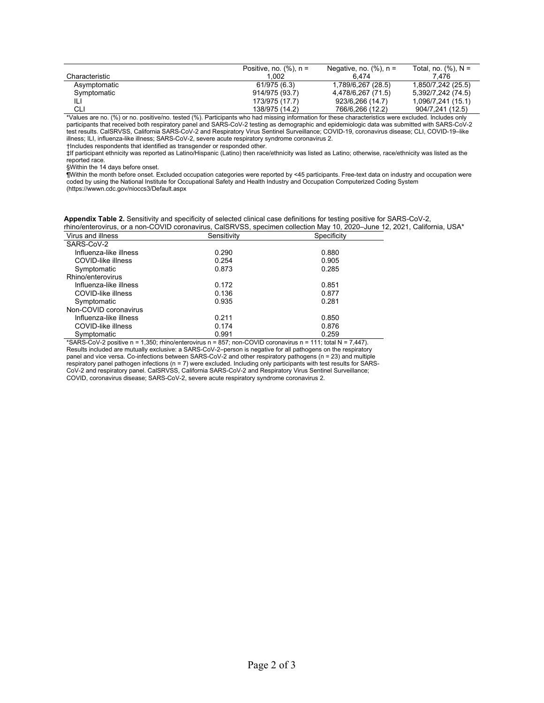|                | Positive, no. $(\%)$ , n = | Negative, no. $(\%)$ , n = | Total, no. $(%)$ , $N =$ |
|----------------|----------------------------|----------------------------|--------------------------|
| Characteristic | 1.002                      | 6.474                      | 7.476                    |
| Asymptomatic   | 61/975 (6.3)               | 1,789/6,267 (28.5)         | 1,850/7,242 (25.5)       |
| Symptomatic    | 914/975 (93.7)             | 4,478/6,267 (71.5)         | 5,392/7,242 (74.5)       |
| Ш              | 173/975 (17.7)             | 923/6,266 (14.7)           | 1,096/7,241 (15.1)       |
| СLІ            | 138/975 (14.2)             | 766/6,266 (12.2)           | 904/7.241 (12.5)         |

\*Values are no. (%) or no. positive/no. tested (%). Participants who had missing information for these characteristics were excluded. Includes only participants that received both respiratory panel and SARS-CoV-2 testing as demographic and epidemiologic data was submitted with SARS-CoV-2 test results. CalSRVSS, California SARS-CoV-2 and Respiratory Virus Sentinel Surveillance; COVID-19, coronavirus disease; CLI, COVID-19‒like illness; ILI, influenza-like illness; SARS-CoV-2, severe acute respiratory syndrome coronavirus 2.

†Includes respondents that identified as transgender or responded other.

‡If participant ethnicity was reported as Latino/Hispanic (Latino) then race/ethnicity was listed as Latino; otherwise, race/ethnicity was listed as the reported race.

§Within the 14 days before onset.

¶Within the month before onset. Excluded occupation categories were reported by <45 participants. Free-text data on industry and occupation were coded by using the National Institute for Occupational Safety and Health Industry and Occupation Computerized Coding System (https://wwwn.cdc.gov/nioccs3/Default.aspx

| Appendix Table 2. Sensitivity and specificity of selected clinical case definitions for testing positive for SARS-CoV-2,  |  |
|---------------------------------------------------------------------------------------------------------------------------|--|
| rhino/enterovirus, or a non-COVID coronavirus, CalSRVSS, specimen collection May 10, 2020–June 12, 2021, California, USA* |  |

| Virus and illness      | Sensitivity | Specificity |
|------------------------|-------------|-------------|
| SARS-CoV-2             |             |             |
| Influenza-like illness | 0.290       | 0.880       |
| COVID-like illness     | 0.254       | 0.905       |
| Symptomatic            | 0.873       | 0.285       |
| Rhino/enterovirus      |             |             |
| Influenza-like illness | 0.172       | 0.851       |
| COVID-like illness     | 0.136       | 0.877       |
| Symptomatic            | 0.935       | 0.281       |
| Non-COVID coronavirus  |             |             |
| Influenza-like illness | 0.211       | 0.850       |
| COVID-like illness     | 0.174       | 0.876       |
| Symptomatic            | 0.991       | 0.259       |

\*SARS-CoV-2 positive n = 1,350; rhino/enterovirus n = 857; non-COVID coronavirus n = 111; total N = 7,447). Results included are mutually exclusive: a SARS-CoV-2-person is negative for all pathogens on the respiratory panel and vice versa. Co-infections between SARS-CoV-2 and other respiratory pathogens (n = 23) and multiple respiratory panel pathogen infections (n = 7) were excluded. Including only participants with test results for SARS-CoV-2 and respiratory panel. CalSRVSS, California SARS-CoV-2 and Respiratory Virus Sentinel Surveillance; COVID, coronavirus disease; SARS-CoV-2, severe acute respiratory syndrome coronavirus 2.